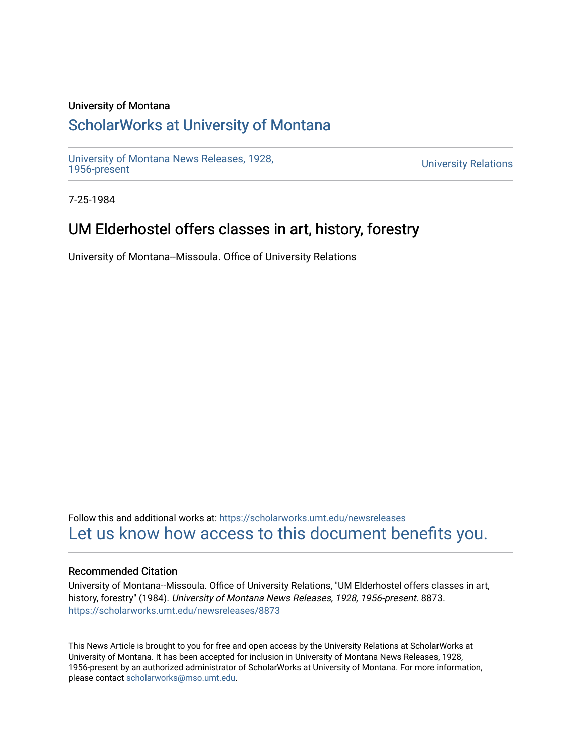### University of Montana

# [ScholarWorks at University of Montana](https://scholarworks.umt.edu/)

[University of Montana News Releases, 1928,](https://scholarworks.umt.edu/newsreleases) 

**University Relations** 

7-25-1984

# UM Elderhostel offers classes in art, history, forestry

University of Montana--Missoula. Office of University Relations

Follow this and additional works at: [https://scholarworks.umt.edu/newsreleases](https://scholarworks.umt.edu/newsreleases?utm_source=scholarworks.umt.edu%2Fnewsreleases%2F8873&utm_medium=PDF&utm_campaign=PDFCoverPages) [Let us know how access to this document benefits you.](https://goo.gl/forms/s2rGfXOLzz71qgsB2) 

#### Recommended Citation

University of Montana--Missoula. Office of University Relations, "UM Elderhostel offers classes in art, history, forestry" (1984). University of Montana News Releases, 1928, 1956-present. 8873. [https://scholarworks.umt.edu/newsreleases/8873](https://scholarworks.umt.edu/newsreleases/8873?utm_source=scholarworks.umt.edu%2Fnewsreleases%2F8873&utm_medium=PDF&utm_campaign=PDFCoverPages) 

This News Article is brought to you for free and open access by the University Relations at ScholarWorks at University of Montana. It has been accepted for inclusion in University of Montana News Releases, 1928, 1956-present by an authorized administrator of ScholarWorks at University of Montana. For more information, please contact [scholarworks@mso.umt.edu.](mailto:scholarworks@mso.umt.edu)